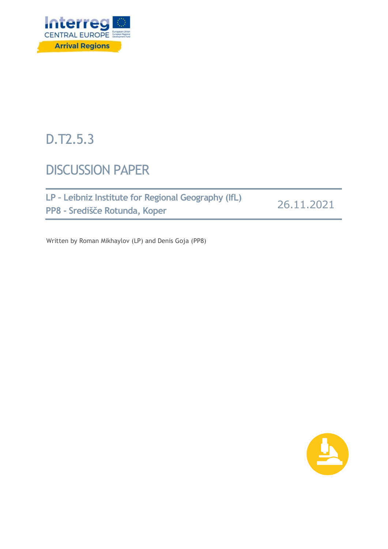

# D.T2.5.3

## DISCUSSION PAPER

| LP - Leibniz Institute for Regional Geography (IfL) |            |
|-----------------------------------------------------|------------|
| PP8 - Središče Rotunda, Koper                       | 26.11.2021 |

Written by Roman Mikhaylov (LP) and Denis Goja (PP8)

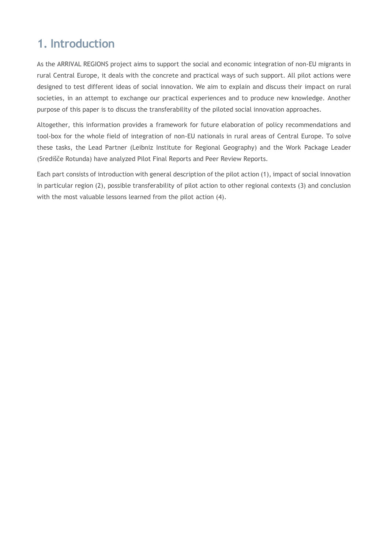## **1. Introduction**

As the ARRIVAL REGIONS project aims to support the social and economic integration of non-EU migrants in rural Central Europe, it deals with the concrete and practical ways of such support. All pilot actions were designed to test different ideas of social innovation. We aim to explain and discuss their impact on rural societies, in an attempt to exchange our practical experiences and to produce new knowledge. Another purpose of this paper is to discuss the transferability of the piloted social innovation approaches.

Altogether, this information provides a framework for future elaboration of policy recommendations and tool-box for the whole field of integration of non-EU nationals in rural areas of Central Europe. To solve these tasks, the Lead Partner (Leibniz Institute for Regional Geography) and the Work Package Leader (Središče Rotunda) have analyzed Pilot Final Reports and Peer Review Reports.

Each part consists of introduction with general description of the pilot action (1), impact of social innovation in particular region (2), possible transferability of pilot action to other regional contexts (3) and conclusion with the most valuable lessons learned from the pilot action (4).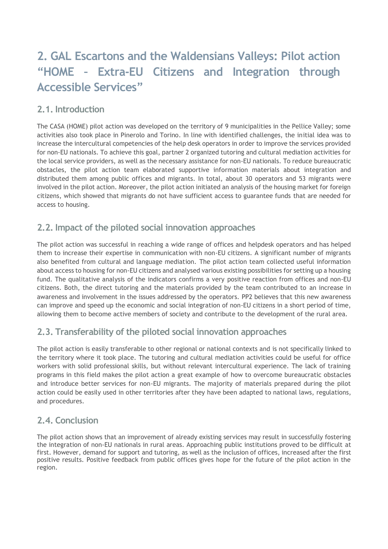## **2. GAL Escartons and the Waldensians Valleys: Pilot action "HOME – Extra-EU Citizens and Integration through Accessible Services"**

## **2.1. Introduction**

The CASA (HOME) pilot action was developed on the territory of 9 municipalities in the Pellice Valley; some activities also took place in Pinerolo and Torino. In line with identified challenges, the initial idea was to increase the intercultural competencies of the help desk operators in order to improve the services provided for non-EU nationals. To achieve this goal, partner 2 organized tutoring and cultural mediation activities for the local service providers, as well as the necessary assistance for non-EU nationals. To reduce bureaucratic obstacles, the pilot action team elaborated supportive information materials about integration and distributed them among public offices and migrants. In total, about 30 operators and 53 migrants were involved in the pilot action. Moreover, the pilot action initiated an analysis of the housing market for foreign citizens, which showed that migrants do not have sufficient access to guarantee funds that are needed for access to housing.

## **2.2. Impact of the piloted social innovation approaches**

The pilot action was successful in reaching a wide range of offices and helpdesk operators and has helped them to increase their expertise in communication with non-EU citizens. A significant number of migrants also benefited from cultural and language mediation. The pilot action team collected useful information about access to housing for non-EU citizens and analysed various existing possibilities for setting up a housing fund. The qualitative analysis of the indicators confirms a very positive reaction from offices and non-EU citizens. Both, the direct tutoring and the materials provided by the team contributed to an increase in awareness and involvement in the issues addressed by the operators. PP2 believes that this new awareness can improve and speed up the economic and social integration of non-EU citizens in a short period of time, allowing them to become active members of society and contribute to the development of the rural area.

## **2.3. Transferability of the piloted social innovation approaches**

The pilot action is easily transferable to other regional or national contexts and is not specifically linked to the territory where it took place. The tutoring and cultural mediation activities could be useful for office workers with solid professional skills, but without relevant intercultural experience. The lack of training programs in this field makes the pilot action a great example of how to overcome bureaucratic obstacles and introduce better services for non-EU migrants. The majority of materials prepared during the pilot action could be easily used in other territories after they have been adapted to national laws, regulations, and procedures.

## **2.4. Conclusion**

The pilot action shows that an improvement of already existing services may result in successfully fostering the integration of non-EU nationals in rural areas. Approaching public institutions proved to be difficult at first. However, demand for support and tutoring, as well as the inclusion of offices, increased after the first positive results. Positive feedback from public offices gives hope for the future of the pilot action in the region.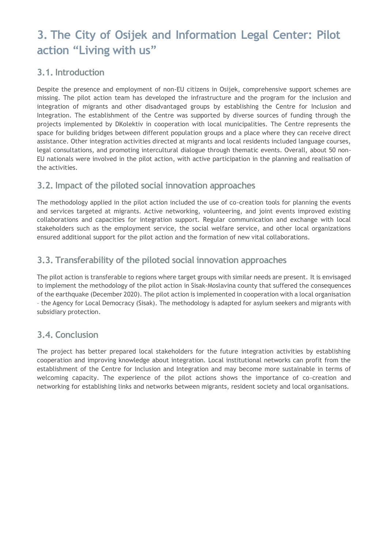## **3. The City of Osijek and Information Legal Center: Pilot action "Living with us"**

#### **3.1. Introduction**

Despite the presence and employment of non-EU citizens in Osijek, comprehensive support schemes are missing. The pilot action team has developed the infrastructure and the program for the inclusion and integration of migrants and other disadvantaged groups by establishing the Centre for Inclusion and Integration. The establishment of the Centre was supported by diverse sources of funding through the projects implemented by DKolektiv in cooperation with local municipalities. The Centre represents the space for building bridges between different population groups and a place where they can receive direct assistance. Other integration activities directed at migrants and local residents included language courses, legal consultations, and promoting intercultural dialogue through thematic events. Overall, about 50 non-EU nationals were involved in the pilot action, with active participation in the planning and realisation of the activities.

## **3.2. Impact of the piloted social innovation approaches**

The methodology applied in the pilot action included the use of co-creation tools for planning the events and services targeted at migrants. Active networking, volunteering, and joint events improved existing collaborations and capacities for integration support. Regular communication and exchange with local stakeholders such as the employment service, the social welfare service, and other local organizations ensured additional support for the pilot action and the formation of new vital collaborations.

## **3.3. Transferability of the piloted social innovation approaches**

The pilot action is transferable to regions where target groups with similar needs are present. It is envisaged to implement the methodology of the pilot action in Sisak-Moslavina county that suffered the consequences of the earthquake (December 2020). The pilot action is implemented in cooperation with a local organisation – the Agency for Local Democracy (Sisak). The methodology is adapted for asylum seekers and migrants with subsidiary protection.

## **3.4. Conclusion**

The project has better prepared local stakeholders for the future integration activities by establishing cooperation and improving knowledge about integration. Local institutional networks can profit from the establishment of the Centre for Inclusion and Integration and may become more sustainable in terms of welcoming capacity. The experience of the pilot actions shows the importance of co-creation and networking for establishing links and networks between migrants, resident society and local organisations.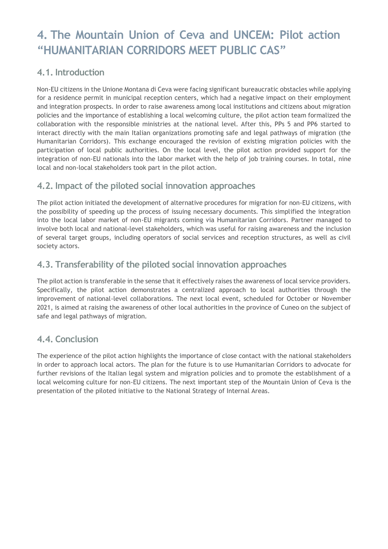## **4. The Mountain Union of Ceva and UNCEM: Pilot action "HUMANITARIAN CORRIDORS MEET PUBLIC CAS"**

#### **4.1. Introduction**

Non-EU citizens in the Unione Montana di Ceva were facing significant bureaucratic obstacles while applying for a residence permit in municipal reception centers, which had a negative impact on their employment and integration prospects. In order to raise awareness among local institutions and citizens about migration policies and the importance of establishing a local welcoming culture, the pilot action team formalized the collaboration with the responsible ministries at the national level. After this, PPs 5 and PP6 started to interact directly with the main Italian organizations promoting safe and legal pathways of migration (the Humanitarian Corridors). This exchange encouraged the revision of existing migration policies with the participation of local public authorities. On the local level, the pilot action provided support for the integration of non-EU nationals into the labor market with the help of job training courses. In total, nine local and non-local stakeholders took part in the pilot action.

## **4.2. Impact of the piloted social innovation approaches**

The pilot action initiated the development of alternative procedures for migration for non-EU citizens, with the possibility of speeding up the process of issuing necessary documents. This simplified the integration into the local labor market of non-EU migrants coming via Humanitarian Corridors. Partner managed to involve both local and national-level stakeholders, which was useful for raising awareness and the inclusion of several target groups, including operators of social services and reception structures, as well as civil society actors.

## **4.3. Transferability of the piloted social innovation approaches**

The pilot action is transferable in the sense that it effectively raises the awareness of local service providers. Specifically, the pilot action demonstrates a centralized approach to local authorities through the improvement of national-level collaborations. The next local event, scheduled for October or November 2021, is aimed at raising the awareness of other local authorities in the province of Cuneo on the subject of safe and legal pathways of migration.

#### **4.4. Conclusion**

The experience of the pilot action highlights the importance of close contact with the national stakeholders in order to approach local actors. The plan for the future is to use Humanitarian Corridors to advocate for further revisions of the Italian legal system and migration policies and to promote the establishment of a local welcoming culture for non-EU citizens. The next important step of the Mountain Union of Ceva is the presentation of the piloted initiative to the National Strategy of Internal Areas.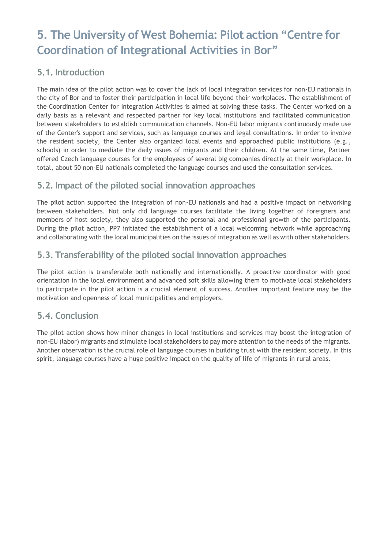## **5. The University of West Bohemia: Pilot action "Centre for Coordination of Integrational Activities in Bor"**

## **5.1. Introduction**

The main idea of the pilot action was to cover the lack of local integration services for non-EU nationals in the city of Bor and to foster their participation in local life beyond their workplaces. The establishment of the Coordination Center for Integration Activities is aimed at solving these tasks. The Center worked on a daily basis as a relevant and respected partner for key local institutions and facilitated communication between stakeholders to establish communication channels. Non-EU labor migrants continuously made use of the Center's support and services, such as language courses and legal consultations. In order to involve the resident society, the Center also organized local events and approached public institutions (e.g., schools) in order to mediate the daily issues of migrants and their children. At the same time, Partner offered Czech language courses for the employees of several big companies directly at their workplace. In total, about 50 non-EU nationals completed the language courses and used the consultation services.

## **5.2. Impact of the piloted social innovation approaches**

The pilot action supported the integration of non-EU nationals and had a positive impact on networking between stakeholders. Not only did language courses facilitate the living together of foreigners and members of host society, they also supported the personal and professional growth of the participants. During the pilot action, PP7 initiated the establishment of a local welcoming network while approaching and collaborating with the local municipalities on the issues of integration as well as with other stakeholders.

## **5.3. Transferability of the piloted social innovation approaches**

The pilot action is transferable both nationally and internationally. A proactive coordinator with good orientation in the local environment and advanced soft skills allowing them to motivate local stakeholders to participate in the pilot action is a crucial element of success. Another important feature may be the motivation and openness of local municipalities and employers.

## **5.4. Conclusion**

The pilot action shows how minor changes in local institutions and services may boost the integration of non-EU (labor) migrants and stimulate local stakeholders to pay more attention to the needs of the migrants. Another observation is the crucial role of language courses in building trust with the resident society. In this spirit, language courses have a huge positive impact on the quality of life of migrants in rural areas.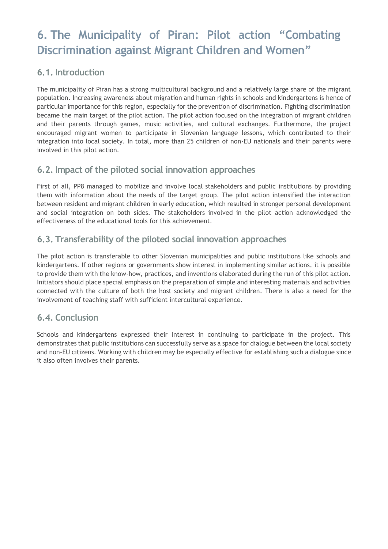## **6. The Municipality of Piran: Pilot action "Combating Discrimination against Migrant Children and Women"**

#### **6.1. Introduction**

The municipality of Piran has a strong multicultural background and a relatively large share of the migrant population. Increasing awareness about migration and human rights in schools and kindergartens is hence of particular importance for this region, especially for the prevention of discrimination. Fighting discrimination became the main target of the pilot action. The pilot action focused on the integration of migrant children and their parents through games, music activities, and cultural exchanges. Furthermore, the project encouraged migrant women to participate in Slovenian language lessons, which contributed to their integration into local society. In total, more than 25 children of non-EU nationals and their parents were involved in this pilot action.

## **6.2. Impact of the piloted social innovation approaches**

First of all, PP8 managed to mobilize and involve local stakeholders and public institutions by providing them with information about the needs of the target group. The pilot action intensified the interaction between resident and migrant children in early education, which resulted in stronger personal development and social integration on both sides. The stakeholders involved in the pilot action acknowledged the effectiveness of the educational tools for this achievement.

## **6.3. Transferability of the piloted social innovation approaches**

The pilot action is transferable to other Slovenian municipalities and public institutions like schools and kindergartens. If other regions or governments show interest in implementing similar actions, it is possible to provide them with the know-how, practices, and inventions elaborated during the run of this pilot action. Initiators should place special emphasis on the preparation of simple and interesting materials and activities connected with the culture of both the host society and migrant children. There is also a need for the involvement of teaching staff with sufficient intercultural experience.

## **6.4. Conclusion**

Schools and kindergartens expressed their interest in continuing to participate in the project. This demonstrates that public institutions can successfully serve as a space for dialogue between the local society and non-EU citizens. Working with children may be especially effective for establishing such a dialogue since it also often involves their parents.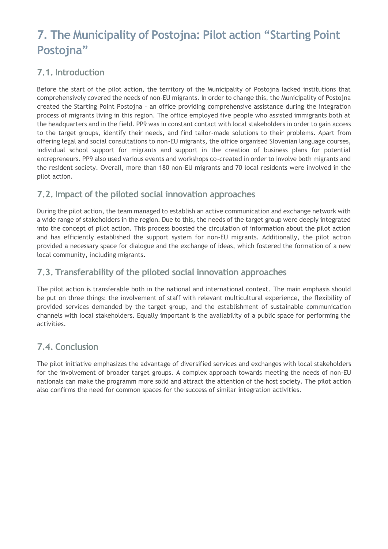## **7. The Municipality of Postojna: Pilot action "Starting Point Postojna"**

## **7.1. Introduction**

Before the start of the pilot action, the territory of the Municipality of Postojna lacked institutions that comprehensively covered the needs of non-EU migrants. In order to change this, the Municipality of Postojna created the Starting Point Postojna – an office providing comprehensive assistance during the integration process of migrants living in this region. The office employed five people who assisted immigrants both at the headquarters and in the field. PP9 was in constant contact with local stakeholders in order to gain access to the target groups, identify their needs, and find tailor-made solutions to their problems. Apart from offering legal and social consultations to non-EU migrants, the office organised Slovenian language courses, individual school support for migrants and support in the creation of business plans for potential entrepreneurs. PP9 also used various events and workshops co-created in order to involve both migrants and the resident society. Overall, more than 180 non-EU migrants and 70 local residents were involved in the pilot action.

## **7.2. Impact of the piloted social innovation approaches**

During the pilot action, the team managed to establish an active communication and exchange network with a wide range of stakeholders in the region. Due to this, the needs of the target group were deeply integrated into the concept of pilot action. This process boosted the circulation of information about the pilot action and has efficiently established the support system for non-EU migrants. Additionally, the pilot action provided a necessary space for dialogue and the exchange of ideas, which fostered the formation of a new local community, including migrants.

## **7.3. Transferability of the piloted social innovation approaches**

The pilot action is transferable both in the national and international context. The main emphasis should be put on three things: the involvement of staff with relevant multicultural experience, the flexibility of provided services demanded by the target group, and the establishment of sustainable communication channels with local stakeholders. Equally important is the availability of a public space for performing the activities.

## **7.4. Conclusion**

The pilot initiative emphasizes the advantage of diversified services and exchanges with local stakeholders for the involvement of broader target groups. A complex approach towards meeting the needs of non-EU nationals can make the programm more solid and attract the attention of the host society. The pilot action also confirms the need for common spaces for the success of similar integration activities.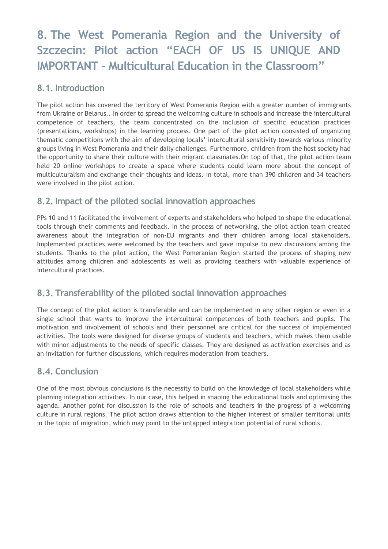## **8. The West Pomerania Region and the University of Szczecin: Pilot action "EACH OF US IS UNIQUE AND IMPORTANT - Multicultural Education in the Classroom"**

#### **8.1. Introduction**

The pilot action has covered the territory of West Pomerania Region with a greater number of immigrants from Ukraine or Belarus.. In order to spread the welcoming culture in schools and increase the intercultural competence of teachers, the team concentrated on the inclusion of specific education practices (presentations, workshops) in the learning process. One part of the pilot action consisted of organizing thematic competitions with the aim of developing locals' intercultural sensitivity towards various minority groups living in West Pomerania and their daily challenges. Furthermore, children from the host society had the opportunity to share their culture with their migrant classmates.On top of that, the pilot action team held 20 online workshops to create a space where students could learn more about the concept of multiculturalism and exchange their thoughts and ideas. In total, more than 390 children and 34 teachers were involved in the pilot action.

## **8.2. Impact of the piloted social innovation approaches**

PPs 10 and 11 facilitated the involvement of experts and stakeholders who helped to shape the educational tools through their comments and feedback. In the process of networking, the pilot action team created awareness about the integration of non-EU migrants and their children among local stakeholders. Implemented practices were welcomed by the teachers and gave impulse to new discussions among the students. Thanks to the pilot action, the West Pomeranian Region started the process of shaping new attitudes among children and adolescents as well as providing teachers with valuable experience of intercultural practices.

## **8.3. Transferability of the piloted social innovation approaches**

The concept of the pilot action is transferable and can be implemented in any other region or even in a single school that wants to improve the intercultural competences of both teachers and pupils. The motivation and involvement of schools and their personnel are critical for the success of implemented activities. The tools were designed for diverse groups of students and teachers, which makes them usable with minor adjustments to the needs of specific classes. They are designed as activation exercises and as an invitation for further discussions, which requires moderation from teachers.

## **8.4. Conclusion**

One of the most obvious conclusions is the necessity to build on the knowledge of local stakeholders while planning integration activities. In our case, this helped in shaping the educational tools and optimising the agenda. Another point for discussion is the role of schools and teachers in the progress of a welcoming culture in rural regions. The pilot action draws attention to the higher interest of smaller territorial units in the topic of migration, which may point to the untapped integration potential of rural schools.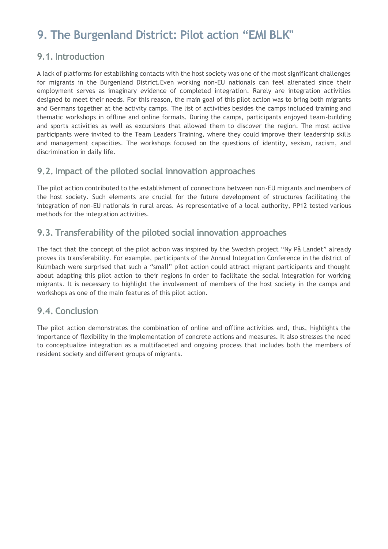## **9. The Burgenland District: Pilot action "EMI BLK"**

#### **9.1. Introduction**

A lack of platforms for establishing contacts with the host society was one of the most significant challenges for migrants in the Burgenland District.Even working non-EU nationals can feel alienated since their employment serves as imaginary evidence of completed integration. Rarely are integration activities designed to meet their needs. For this reason, the main goal of this pilot action was to bring both migrants and Germans together at the activity camps. The list of activities besides the camps included training and thematic workshops in offline and online formats. During the camps, participants enjoyed team-building and sports activities as well as excursions that allowed them to discover the region. The most active participants were invited to the Team Leaders Training, where they could improve their leadership skills and management capacities. The workshops focused on the questions of identity, sexism, racism, and discrimination in daily life.

#### **9.2. Impact of the piloted social innovation approaches**

The pilot action contributed to the establishment of connections between non-EU migrants and members of the host society. Such elements are crucial for the future development of structures facilitating the integration of non-EU nationals in rural areas. As representative of a local authority, PP12 tested various methods for the integration activities.

## **9.3. Transferability of the piloted social innovation approaches**

The fact that the concept of the pilot action was inspired by the Swedish project "Ny På Landet" already proves its transferability. For example, participants of the Annual Integration Conference in the district of Kulmbach were surprised that such a "small" pilot action could attract migrant participants and thought about adapting this pilot action to their regions in order to facilitate the social integration for working migrants. It is necessary to highlight the involvement of members of the host society in the camps and workshops as one of the main features of this pilot action.

## **9.4. Conclusion**

The pilot action demonstrates the combination of online and offline activities and, thus, highlights the importance of flexibility in the implementation of concrete actions and measures. It also stresses the need to conceptualize integration as a multifaceted and ongoing process that includes both the members of resident society and different groups of migrants.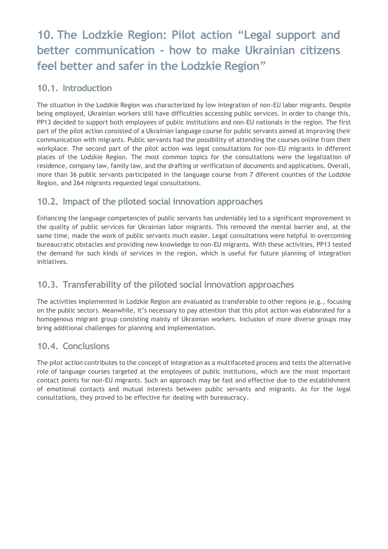## **10. The Lodzkie Region: Pilot action "Legal support and better communication - how to make Ukrainian citizens feel better and safer in the Lodzkie Region"**

## **10.1. Introduction**

The situation in the Lodzkie Region was characterized by low integration of non-EU labor migrants. Despite being employed, Ukrainian workers still have difficulties accessing public services. In order to change this, PP13 decided to support both employees of public institutions and non-EU nationals in the region. The first part of the pilot action consisted of a Ukrainian language course for public servants aimed at improving their communication with migrants. Public servants had the possibility of attending the courses online from their workplace. The second part of the pilot action was legal consultations for non-EU migrants in different places of the Lodzkie Region. The most common topics for the consultations were the legalization of residence, company law, family law, and the drafting or verification of documents and applications. Overall, more than 36 public servants participated in the language course from 7 diferent counties of the Lodzkie Region, and 264 migrants requested legal consultations.

## **10.2. Impact of the piloted social innovation approaches**

Enhancing the language competencies of public servants has undeniably led to a significant improvement in the quality of public services for Ukrainian labor migrants. This removed the mental barrier and, at the same time, made the work of public servants much easier. Legal consultations were helpful in overcoming bureaucratic obstacles and providing new knowledge to non-EU migrants. With these activities, PP13 tested the demand for such kinds of services in the region, which is useful for future planning of integration initiatives.

## **10.3. Transferability of the piloted social innovation approaches**

The activities implemented in Lodzkie Region are evaluated as transferable to other regions (e.g., focusing on the public sector). Meanwhile, it's necessary to pay attention that this pilot action was elaborated for a homogenous migrant group consisting mainly of Ukrainian workers. Inclusion of more diverse groups may bring additional challenges for planning and implementation.

## **10.4. Conclusions**

The pilot action contributes to the concept of integration as a multifaceted process and tests the alternative role of language courses targeted at the employees of public institutions, which are the most important contact points for non-EU migrants. Such an approach may be fast and effective due to the establishment of emotional contacts and mutual interests between public servants and migrants. As for the legal consultations, they proved to be effective for dealing with bureaucracy.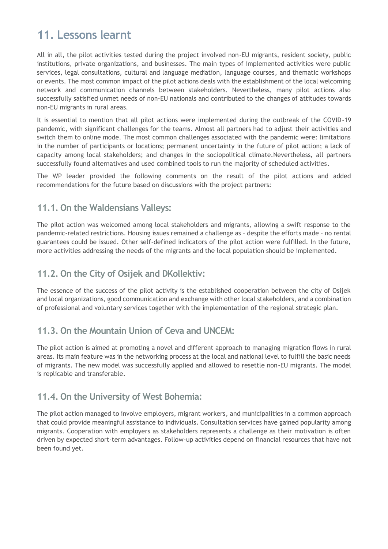## **11. Lessons learnt**

All in all, the pilot activities tested during the project involved non-EU migrants, resident society, public institutions, private organizations, and businesses. The main types of implemented activities were public services, legal consultations, cultural and language mediation, language courses, and thematic workshops or events. The most common impact of the pilot actions deals with the establishment of the local welcoming network and communication channels between stakeholders. Nevertheless, many pilot actions also successfully satisfied unmet needs of non-EU nationals and contributed to the changes of attitudes towards non-EU migrants in rural areas.

It is essential to mention that all pilot actions were implemented during the outbreak of the COVID-19 pandemic, with significant challenges for the teams. Almost all partners had to adjust their activities and switch them to online mode. The most common challenges associated with the pandemic were: limitations in the number of participants or locations; permanent uncertainty in the future of pilot action; a lack of capacity among local stakeholders; and changes in the sociopolitical climate.Nevertheless, all partners successfully found alternatives and used combined tools to run the majority of scheduled activities.

The WP leader provided the following comments on the result of the pilot actions and added recommendations for the future based on discussions with the project partners:

#### **11.1. On the Waldensians Valleys:**

The pilot action was welcomed among local stakeholders and migrants, allowing a swift response to the pandemic-related restrictions. Housing issues remained a challenge as – despite the efforts made – no rental guarantees could be issued. Other self-defined indicators of the pilot action were fulfilled. In the future, more activities addressing the needs of the migrants and the local population should be implemented.

#### **11.2. On the City of Osijek and DKollektiv:**

The essence of the success of the pilot activity is the established cooperation between the city of Osijek and local organizations, good communication and exchange with other local stakeholders, and a combination of professional and voluntary services together with the implementation of the regional strategic plan.

#### **11.3. On the Mountain Union of Ceva and UNCEM:**

The pilot action is aimed at promoting a novel and different approach to managing migration flows in rural areas. Its main feature was in the networking process at the local and national level to fulfill the basic needs of migrants. The new model was successfully applied and allowed to resettle non-EU migrants. The model is replicable and transferable.

#### **11.4. On the University of West Bohemia:**

The pilot action managed to involve employers, migrant workers, and municipalities in a common approach that could provide meaningful assistance to individuals. Consultation services have gained popularity among migrants. Cooperation with employers as stakeholders represents a challenge as their motivation is often driven by expected short-term advantages. Follow-up activities depend on financial resources that have not been found yet.